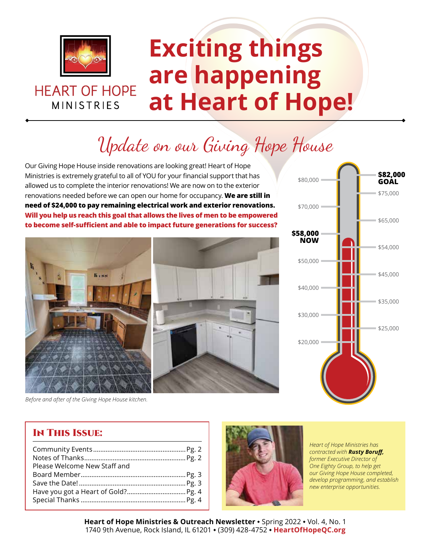

**HEART OF HOPE** 

**MINISTRIES** 

# **Exciting things are happening at Heart of Hope!**

# Update on our Giving Hope House

Our Giving Hope House inside renovations are looking great! Heart of Hope Ministries is extremely grateful to all of YOU for your financial support that has allowed us to complete the interior renovations! We are now on to the exterior renovations needed before we can open our home for occupancy. **We are still in need of \$24,000 to pay remaining electrical work and exterior renovations. Will you help us reach this goal that allows the lives of men to be empowered to become self-sufficient and able to impact future generations for success?**





*Before and after of the Giving Hope House kitchen.*

### In This Issue:

| Please Welcome New Staff and |  |
|------------------------------|--|
|                              |  |
|                              |  |
|                              |  |
|                              |  |
|                              |  |



*Heart of Hope Ministries has contracted with Rusty Boruff, former Executive Director of One Eighty Group, to help get our Giving Hope House completed, develop programming, and establish new enterprise opportunities.*

**Heart of Hope Ministries & Outreach Newsletter** ◆ Spring 2022 ◆ Vol. 4, No. 1 1740 9th Avenue, Rock Island, IL 61201 ◆ (309) 428-4752 ◆ **HeartOfHopeQC.org**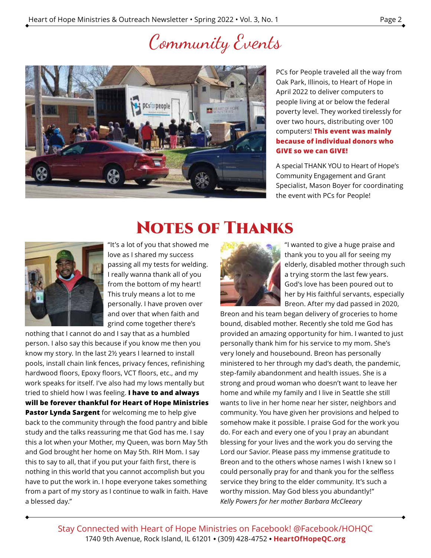# Community Events



PCs for People traveled all the way from Oak Park, Illinois, to Heart of Hope in April 2022 to deliver computers to people living at or below the federal poverty level. They worked tirelessly for over two hours, distributing over 100 computers! **This event was mainly because of individual donors who GIVE so we can GIVE!**

A special THANK YOU to Heart of Hope's Community Engagement and Grant Specialist, Mason Boyer for coordinating the event with PCs for People!

### Notes of Thanks



"It's a lot of you that showed me love as I shared my success passing all my tests for welding. I really wanna thank all of you from the bottom of my heart! This truly means a lot to me personally. I have proven over and over that when faith and grind come together there's

nothing that I cannot do and I say that as a humbled person. I also say this because if you know me then you know my story. In the last 2½ years I learned to install pools, install chain link fences, privacy fences, refinishing hardwood floors, Epoxy floors, VCT floors, etc., and my work speaks for itself. I've also had my lows mentally but tried to shield how I was feeling. **I have to and always will be forever thankful for Heart of Hope Ministries Pastor Lynda Sargent** for welcoming me to help give back to the community through the food pantry and bible study and the talks reassuring me that God has me. I say this a lot when your Mother, my Queen, was born May 5th and God brought her home on May 5th. RIH Mom. I say this to say to all, that if you put your faith first, there is nothing in this world that you cannot accomplish but you have to put the work in. I hope everyone takes something from a part of my story as I continue to walk in faith. Have a blessed day."



"I wanted to give a huge praise and thank you to you all for seeing my elderly, disabled mother through such a trying storm the last few years. God's love has been poured out to her by His faithful servants, especially Breon. After my dad passed in 2020,

Breon and his team began delivery of groceries to home bound, disabled mother. Recently she told me God has provided an amazing opportunity for him. I wanted to just personally thank him for his service to my mom. She's very lonely and housebound. Breon has personally ministered to her through my dad's death, the pandemic, step-family abandonment and health issues. She is a strong and proud woman who doesn't want to leave her home and while my family and I live in Seattle she still wants to live in her home near her sister, neighbors and community. You have given her provisions and helped to somehow make it possible. I praise God for the work you do. For each and every one of you I pray an abundant blessing for your lives and the work you do serving the Lord our Savior. Please pass my immense gratitude to Breon and to the others whose names I wish I knew so I could personally pray for and thank you for the selfless service they bring to the elder community. It's such a worthy mission. May God bless you abundantly!" *Kelly Powers for her mother Barbara McCleeary*

Stay Connected with Heart of Hope Ministries on Facebook! @Facebook/HOHQC 1740 9th Avenue, Rock Island, IL 61201 ◆ (309) 428-4752 ◆ **HeartOfHopeQC.org**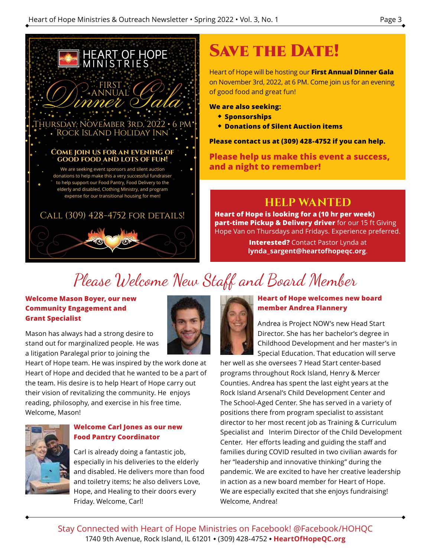

## SAVE THE DATE!

Heart of Hope will be hosting our **First Annual Dinner Gala**  on November 3rd, 2022, at 6 PM. Come join us for an evening of good food and great fun!

**We are also seeking:**

- ◆ **Sponsorships**
- ◆ **Donations of Silent Auction items**

**Please contact us at (309) 428-4752 if you can help.**

**Please help us make this event a success, and a night to remember!**

### **HELP WANTED**

**Heart of Hope is looking for a (10 hr per week) part-time Pickup & Delivery driver** for our 15 ft Giving Hope Van on Thursdays and Fridays. Experience preferred.

> **Interested?** Contact Pastor Lynda at **lynda\_sargent@heartofhopeqc.org**.

## Please Welcome New Staff and Board Member

#### **Welcome Mason Boyer, our new Community Engagement and Grant Specialist**

Mason has always had a strong desire to stand out for marginalized people. He was a litigation Paralegal prior to joining the

Heart of Hope team. He was inspired by the work done at Heart of Hope and decided that he wanted to be a part of the team. His desire is to help Heart of Hope carry out their vision of revitalizing the community. He enjoys reading, philosophy, and exercise in his free time. Welcome, Mason!



#### **Welcome Carl Jones as our new Food Pantry Coordinator**

Carl is already doing a fantastic job, especially in his deliveries to the elderly and disabled. He delivers more than food and toiletry items; he also delivers Love, Hope, and Healing to their doors every Friday. Welcome, Carl!



#### **Heart of Hope welcomes new board member Andrea Flannery**

Andrea is Project NOW's new Head Start Director. She has her bachelor's degree in Childhood Development and her master's in Special Education. That education will serve

her well as she oversees 7 Head Start center-based programs throughout Rock Island, Henry & Mercer Counties. Andrea has spent the last eight years at the Rock Island Arsenal's Child Development Center and The School-Aged Center. She has served in a variety of positions there from program specialist to assistant director to her most recent job as Training & Curriculum Specialist and Interim Director of the Child Development Center. Her efforts leading and guiding the staff and families during COVID resulted in two civilian awards for her "leadership and innovative thinking" during the pandemic. We are excited to have her creative leadership in action as a new board member for Heart of Hope. We are especially excited that she enjoys fundraising! Welcome, Andrea!